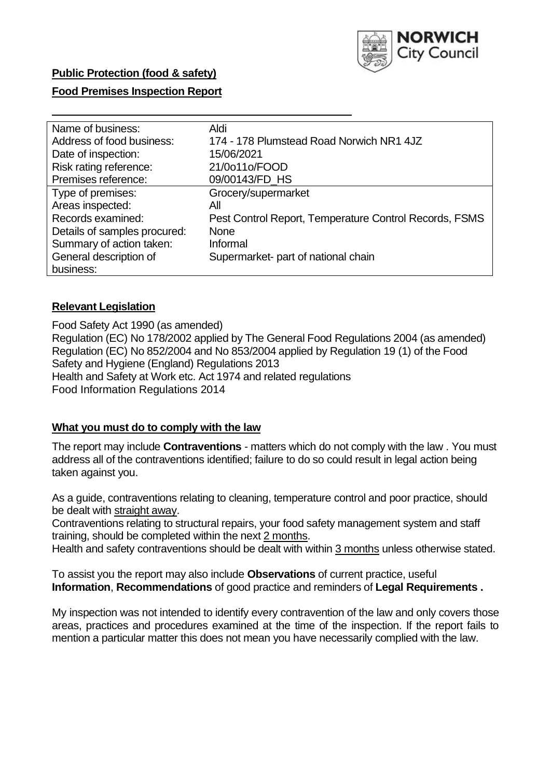

# **Public Protection (food & safety)**

## **Food Premises Inspection Report**

| Name of business:            | Aldi                                                   |
|------------------------------|--------------------------------------------------------|
| Address of food business:    | 174 - 178 Plumstead Road Norwich NR1 4JZ               |
| Date of inspection:          | 15/06/2021                                             |
| Risk rating reference:       | 21/0o11o/FOOD                                          |
| Premises reference:          | 09/00143/FD HS                                         |
| Type of premises:            | Grocery/supermarket                                    |
| Areas inspected:             | All                                                    |
| Records examined:            | Pest Control Report, Temperature Control Records, FSMS |
| Details of samples procured: | <b>None</b>                                            |
| Summary of action taken:     | Informal                                               |
| General description of       | Supermarket- part of national chain                    |
| business:                    |                                                        |

#### **Relevant Legislation**

 Food Safety Act 1990 (as amended) Regulation (EC) No 178/2002 applied by The General Food Regulations 2004 (as amended) Regulation (EC) No 852/2004 and No 853/2004 applied by Regulation 19 (1) of the Food Safety and Hygiene (England) Regulations 2013 Health and Safety at Work etc. Act 1974 and related regulations Food Information Regulations 2014

#### **What you must do to comply with the law**

 The report may include **Contraventions** - matters which do not comply with the law . You must address all of the contraventions identified; failure to do so could result in legal action being taken against you.

 As a guide, contraventions relating to cleaning, temperature control and poor practice, should be dealt with straight away.

 Contraventions relating to structural repairs, your food safety management system and staff training, should be completed within the next 2 months.

Health and safety contraventions should be dealt with within 3 months unless otherwise stated.

 To assist you the report may also include **Observations** of current practice, useful **Information**, **Recommendations** of good practice and reminders of **Legal Requirements .** 

 My inspection was not intended to identify every contravention of the law and only covers those areas, practices and procedures examined at the time of the inspection. If the report fails to mention a particular matter this does not mean you have necessarily complied with the law.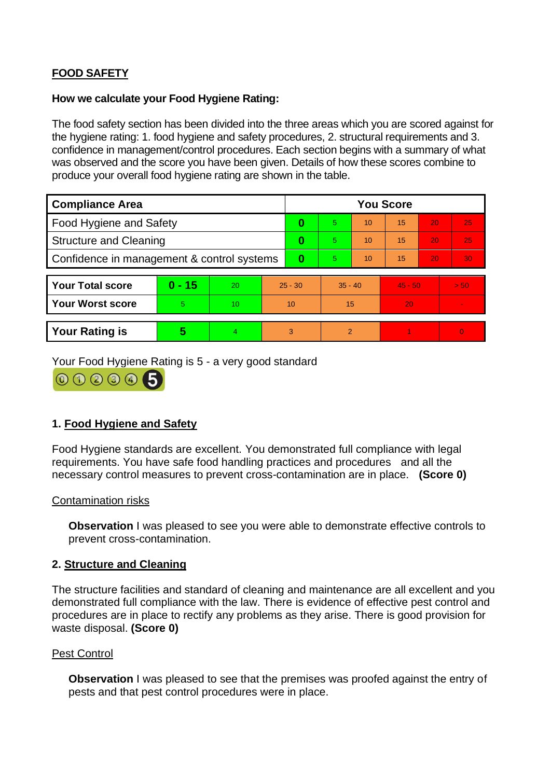# **FOOD SAFETY**

### **How we calculate your Food Hygiene Rating:**

 The food safety section has been divided into the three areas which you are scored against for the hygiene rating: 1. food hygiene and safety procedures, 2. structural requirements and 3. confidence in management/control procedures. Each section begins with a summary of what was observed and the score you have been given. Details of how these scores combine to produce your overall food hygiene rating are shown in the table.

| <b>Compliance Area</b>                     |          |                |           | <b>You Score</b> |                |    |           |    |                |  |  |
|--------------------------------------------|----------|----------------|-----------|------------------|----------------|----|-----------|----|----------------|--|--|
| <b>Food Hygiene and Safety</b>             |          |                |           | 0                | 5              | 10 | 15        | 20 | 25             |  |  |
| <b>Structure and Cleaning</b>              |          |                | 0         | 5                | 10             | 15 | 20        | 25 |                |  |  |
| Confidence in management & control systems |          |                | $\bf{0}$  | 5                | 10             | 15 | 20        | 30 |                |  |  |
|                                            |          |                |           |                  |                |    |           |    |                |  |  |
| <b>Your Total score</b>                    | $0 - 15$ | 20             | $25 - 30$ |                  | $35 - 40$      |    | $45 - 50$ |    | > 50           |  |  |
| <b>Your Worst score</b>                    | 5        | 10             | 10        |                  | 15             |    | 20        |    |                |  |  |
|                                            |          |                |           |                  |                |    |           |    |                |  |  |
| <b>Your Rating is</b>                      | 5        | $\overline{4}$ | 3         |                  | $\overline{2}$ |    |           |    | $\overline{0}$ |  |  |

Your Food Hygiene Rating is 5 - a very good standard



# **1. Food Hygiene and Safety**

 requirements. You have safe food handling practices and procedures and all the Food Hygiene standards are excellent. You demonstrated full compliance with legal necessary control measures to prevent cross-contamination are in place. **(Score 0)** 

### Contamination risks

**Observation** I was pleased to see you were able to demonstrate effective controls to prevent cross-contamination.

### **2. Structure and Cleaning**

The structure facilities and standard of cleaning and maintenance are all excellent and you demonstrated full compliance with the law. There is evidence of effective pest control and procedures are in place to rectify any problems as they arise. There is good provision for waste disposal. **(Score 0)** 

### Pest Control

**Observation** I was pleased to see that the premises was proofed against the entry of pests and that pest control procedures were in place.